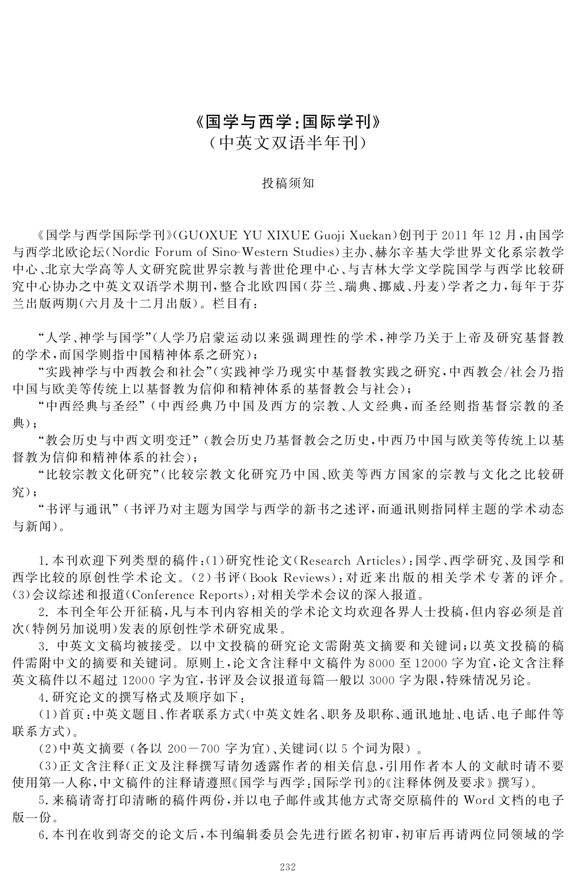## «国学与西学:国际学刊»

(中英文双语半年刊)

#### 投稿须知

«国学与西学国际学刊»(GUOXUEYUXIXUEGuojiXuekan)创刊于2011年12月,由国学 与西学北欧论坛(Nordic Forum of Sino-Western Studies)主办、赫尔辛基大学世界文化系宗教学 中心、北京大学高等人文研究院世界宗教与普世伦理中心、与吉林大学文学院国学与西学比较研 究中心协办之中英文双语学术期刊,整合北欧四国(芬兰、瑞典、挪威、丹麦)学者之力,每年于芬 兰出版两期(六月及十二月出版).栏目有:

"人学、神学与国学"(人学乃启蒙运动以来强调理性的学术,神学乃关于上帝及研究基督教 的学术,而国学则指中国精神体系之研究);

"实践神学与中西教会和社会"(实践神学乃现实中基督教实践之研究,中西教会/社会乃指 中国与欧美等传统上以基督教为信仰和精神体系的基督教会与社会);

"中西经典与圣经"(中西经典乃中国及西方的宗教、人文经典,而圣经则指基督宗教的圣 典);

"教会历史与中西文明变迁"(教会历史乃基督教会之历史,中西乃中国与欧美等传统上以基 督教为信仰和精神体系的社会);

"比较宗教文化研究"(比较宗教文化研究乃中国、欧美等西方国家的宗教与文化之比较研 究);

"书评与通讯"(书评乃对主题为国学与西学的新书之述评,而通讯则指同样主题的学术动态 与新闻).

1.本刊欢迎下列类型的稿件:(1)研究性论文(ResearchArticles):国学、西学研究、及国学和 西学比较的原创性学术论文.(2)书评(BookReviews):对近来出版的相关学术专著的评介.  $(3)$ 会议综述和报道(Conference Reports):对相关学术会议的深入报道。

2.本刊全年公开征稿,凡与本刊内容相关的学术论文均欢迎各界人士投稿,但内容必须是首 次(特例另加说明)发表的原创性学术研究成果.

3.中英文文稿均被接受.以中文投稿的研究论文需附英文摘要和关键词;以英文投稿的稿 件需附中文的摘要和关键词.原则上,论文含注释中文稿件为8000至12000字为宜,论文含注释 英文稿件以不超过12000字为宜,书评及会议报道每篇一般以3000字为限,特殊情况另论.

4.研究论文的撰写格式及顺序如下:

(1)首页:中英文题目、作者联系方式(中英文姓名、职务及职称、通讯地址、电话、电子邮件等 联系方式).

(2)中英文摘要 (各以 200-700字为宜)、关键词(以5个词为限).

(3)正文含注释(正文及注释撰写请勿透露作者的相关信息,引用作者本人的文献时请不要 使用第一人称,中文稿件的注释请遵照«国学与西学:国际学刊»的«注释体例及要求»撰写).

5.来稿请寄打印清晰的稿件两份,并以电子邮件或其他方式寄交原稿件的 Word文档的电子 版一份.

6.本刊在收到寄交的论文后,本刊编辑委员会先进行匿名初审,初审后再请两位同领域的学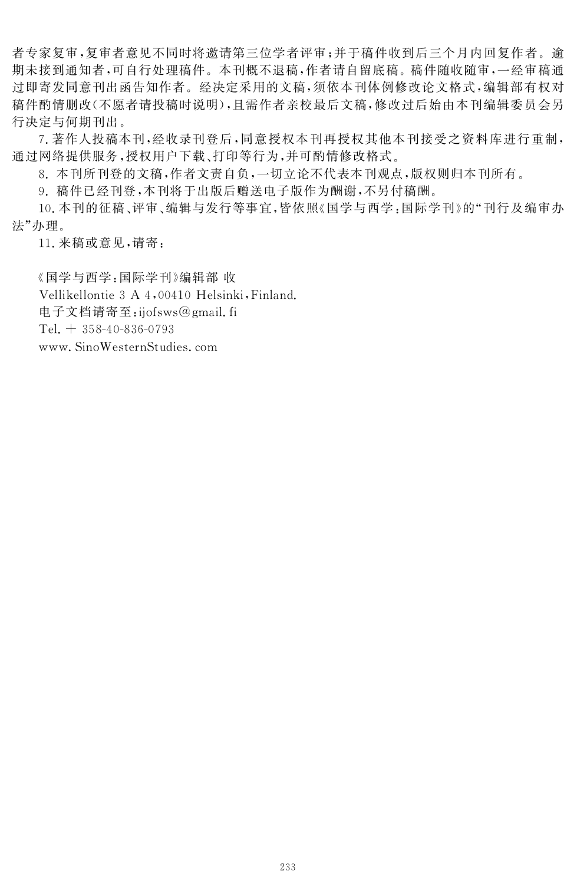者专家复审,复审者意见不同时将激请第三位学者评审;并于稿件收到后三个月内回复作者。谕 期未接到通知者,可自行处理稿件.本刊概不退稿,作者请自留底稿.稿件随收随审,一经审稿通 过即寄发同意刊出函告知作者.经决定采用的文稿,须依本刊体例修改论文格式,编辑部有权对 稿件酌情删改(不愿者请投稿时说明),且需作者亲校最后文稿,修改过后始由本刊编辑委员会另 行决定与何期刊出.

7.著作人投稿本刊,经收录刊登后,同意授权本刊再授权其他本刊接受之资料库进行重制, 通过网络提供服务,授权用户下载、打印等行为,并可酌情修改格式.

8.本刊所刊登的文稿,作者文责自负,一切立论不代表本刊观点,版权则归本刊所有.

9.稿件已经刊登,本刊将于出版后赠送电子版作为酬谢,不另付稿酬.

10.本刊的征稿、评审、编辑与发行等事宜,皆依照«国学与西学:国际学刊»的"刊行及编审办 法"办理.

11.来稿或意见,请寄:

«国学与西学:国际学刊»编辑部 收

Vellikellontie 3 A 4,00410 Helsinki, Finland.

电子文档请寄至:ijofsws@gmail.fi

Tel.  $+ 358 - 40 - 836 - 0793$ 

www.SinoWesternStudies.com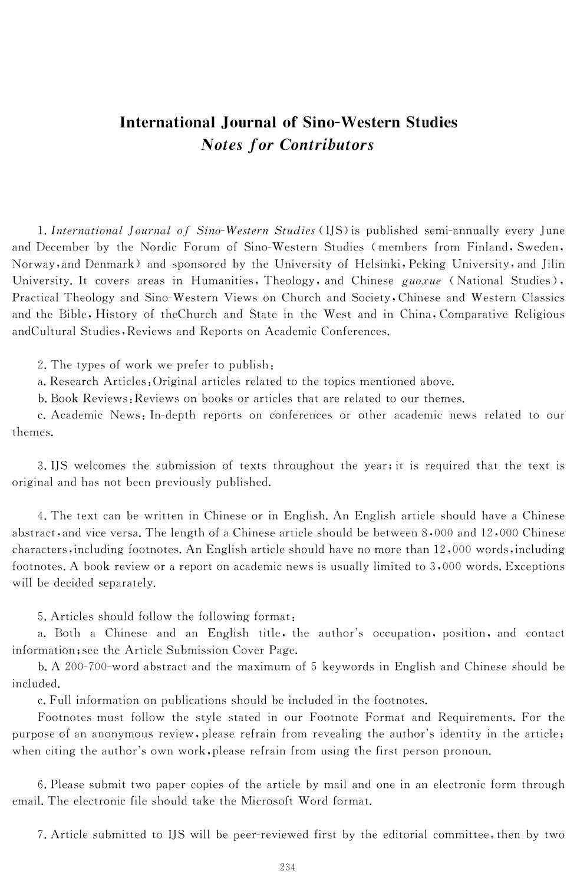## International Journal of Sino-Western Studies **Notes for Contributors**

1. International Journal of Sino-Western Studies (IJS) is published semi-annually every June and December by the Nordic Forum of Sino-Western Studies (members from Finland, Sweden, Norway, and Denmark) and sponsored by the University of Helsinki, Peking University, and Jilin University. It covers areas in Humanities, Theology, and Chinese  $guoxue$  (National Studies), Practical Theology and Sino-Western Views on Church and Society, Chinese and Western Classics and the Bible, History of theChurch and State in the West and in China, Comparative Religious andCultural Studies, Reviews and Reports on Academic Conferences.

2. The types of work we prefer to publish:

a. Research Articles: Original articles related to the topics mentioned above.

b. Book Reviews: Reviews on books or articles that are related to our themes.

c. Academic News: In-depth reports on conferences or other academic news related to our themes.

3. IJS welcomes the submission of texts throughout the year; it is required that the text is original and has not been previously published.

4. The text can be written in Chinese or in English. An English article should have a Chinese abstract, and vice versa. The length of a Chinese article should be between 8,000 and 12,000 Chinese characters, including footnotes. An English article should have no more than  $12,000$  words, including footnotes. A book review or a report on academic news is usually limited to  $3,000$  words. Exceptions will be decided separately.

5. Articles should follow the following format:

a. Both a Chinese and an English title, the author's occupation, position, and contact information; see the Article Submission Cover Page.

b. A 200-700-word abstract and the maximum of 5 keywords in English and Chinese should be included.

c. Full information on publications should be included in the footnotes.

Footnotes must follow the style stated in our Footnote Format and Requirements. For the purpose of an anonymous review, please refrain from revealing the author's identity in the article; when citing the author's own work, please refrain from using the first person pronoun.

6. Please submit two paper copies of the article by mail and one in an electronic form through email. The electronic file should take the Microsoft Word format.

7. Article submitted to IJS will be peer-reviewed first by the editorial committee, then by two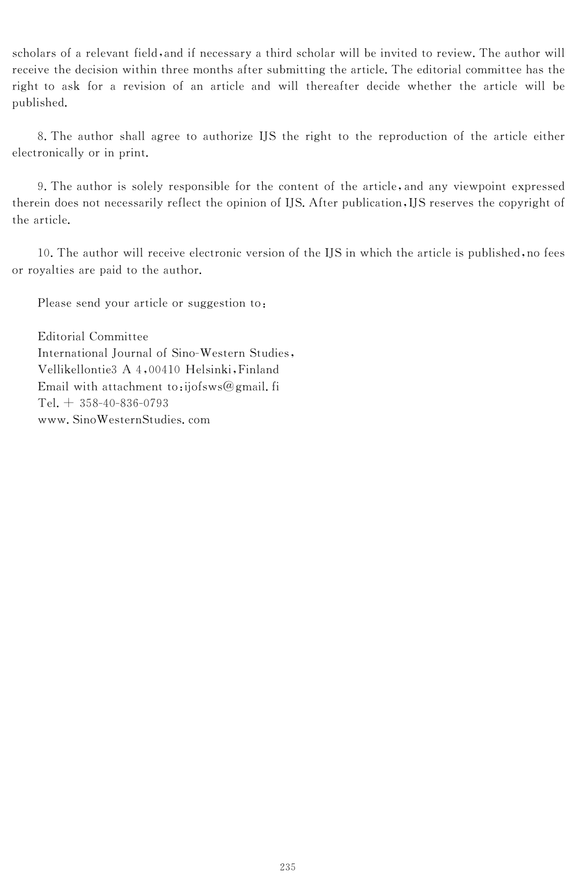scholars of a relevant field, and if necessary a third scholar will be invited to review. The author will receive the decision within three months after submitting the article. The editorial committee has the right to ask for a revision of an article and will thereafter decide whether the article will be published.

8. The author shall agree to authorize IJS the right to the reproduction of the article either electronically or in print.

9. The author is solely responsible for the content of the article, and any viewpoint expressed therein does not necessarily reflect the opinion of IJS. After publication, IJS reserves the copyright of the article.

10. The author will receive electronic version of the IJS in which the article is published, no fees or royalties are paid to the author.

Please send your article or suggestion to:

Editorial Committee International Journal of Sino-Western Studies, Vellikellontie3 A 4,00410 Helsinki, Finland Email with attachment to:ijofsws@gmail.fi  $Tel. + 358-40-836-0793$ www.SinoWesternStudies.com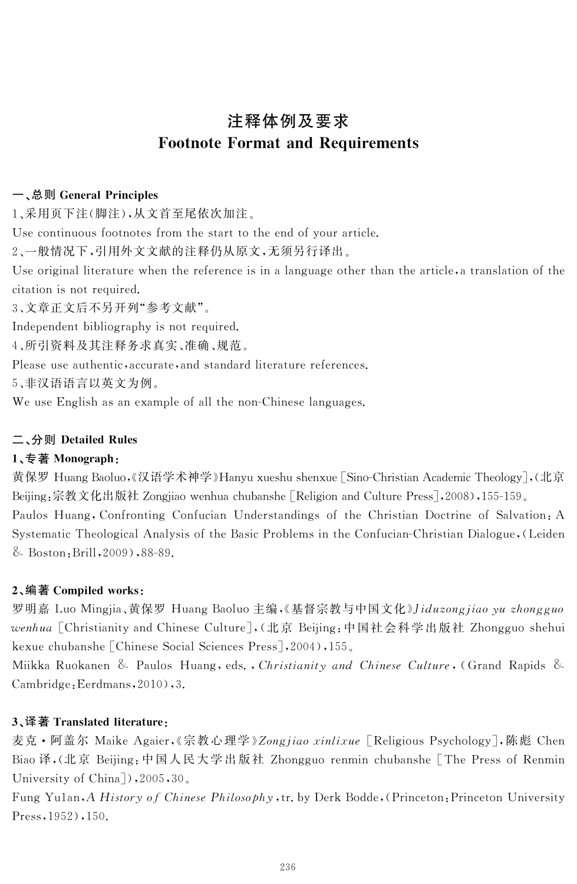# 注释体例及要求 Footnote Format and Requirements

### 一、总则 General Principles

1、采用页下注(脚注),从文首至尾依次加注.

Use continuous footnotes from the start to the end of your article.

2、一般情况下,引用外文文献的注释仍从原文,无须另行译出.

Use original literature when the reference is in a language other than the article, a translation of the citation is not required.

3、文章正文后不另开列"参考文献".

Independent bibliography is not required.

4、所引资料及其注释务求真实、准确、规范.

Please use authentic, accurate, and standard literature references.

5、非汉语语言以英文为例.

We use English as an example of all the non-Chinese languages.

## 二、分则 Detailed Rules

## 1、专著 Monograph:

黄保罗 Huang Baoluo,《汉语学术神学》Hanyu xueshu shenxue [Sino-Christian Academic Theology],(北京 Beijing:宗教文化出版社 Zongjiao wenhua chubanshe [Religion and Culture Press], 2008), 155-159. Paulos Huang, Confronting Confucian Understandings of the Christian Doctrine of Salvation: A Systematic Theological Analysis of the Basic Problems in the Confucian-Christian Dialogue, (Leiden & Boston: Brill,  $2009$ ),  $88-89$ .

## 2、编著 Compiled works:

罗明嘉 Luo Mingjia、黄保罗 Huang Baoluo 主编,《基督宗教与中国文化》*Jiduzongjiao yu zhongguo* wenhua [Christianity and Chinese Culture],(北京 Beijing:中国社会科学出版社 Zhongguo shehui kexue chubanshe [Chinese Social Sciences Press], 2004), 155.

Miikka Ruokanen & Paulos Huang, eds., Christianity and Chinese Culture, (Grand Rapids & Cambridge:Eerdmans,2010),3.

## 3、译著 Translated literature:

麦克 • 阿盖尔 Maike Agaier,《宗教心理学》Zongjiao xinlixue [Religious Psychology],陈彪 Chen Biao 译,(北京 Beijing:中国人民大学出版社 Zhongguo renmin chubanshe [The Press of Renmin University of China]), 2005, 30.

Fung Yu1an, A History of Chinese Philosophy, tr. by Derk Bodde, (Princeton: Princeton University Press,1952),150.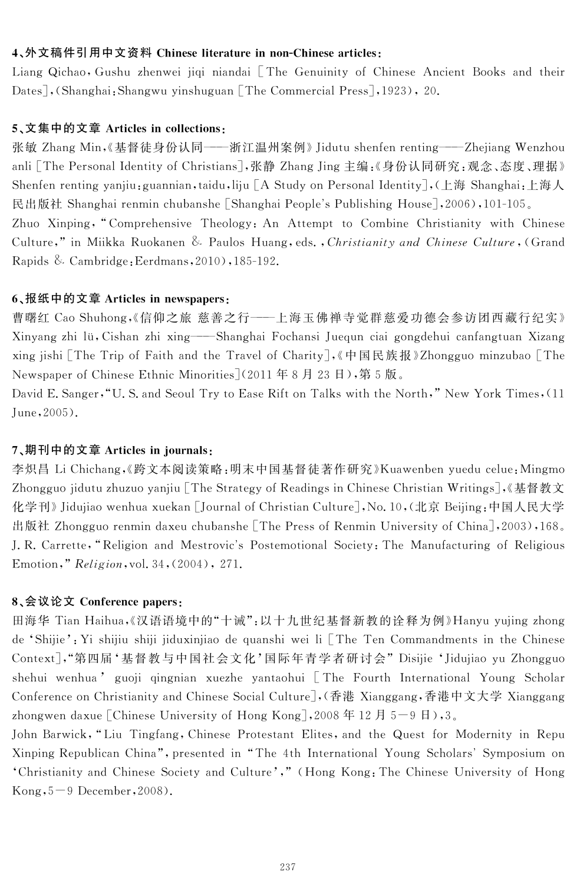#### 4、外文稿件引用中文资料 Chinese literature in non-Chinese articles:

Liang Qichao, Gushu zhenwei jiqi niandai [The Genuinity of Chinese Ancient Books and their Dates], (Shanghai: Shangwu yinshuguan [The Commercial Press], 1923), 20.

#### 5、文集中的文章 Articles in collections:

张敏 Zhang Min,《基督徒身份认同——浙江温州案例》Jidutu shenfen renting——Zhejiang Wenzhou anli [The Personal Identity of Christians],张静 Zhang Jing 主编:《身份认同研究:观念、态度、理据》 Shenfen renting yanjiu:guannian,taidu,liju [A Study on Personal Identity],(上海 Shanghai:上海人 民出版社 Shanghai renmin chubanshe [Shanghai People's Publishing House], 2006), 101-105. Zhuo Xinping, "Comprehensive Theology: An Attempt to Combine Christianity with Chinese Culture," in Miikka Ruokanen & Paulos Huang, eds., Christianity and Chinese Culture, (Grand Rapids & Cambridge: Eerdmans,  $2010$ ,  $185-192$ .

#### 6、报纸中的文章 Articles in newspapers:

曹曙红 CaoShuhong,«信仰之旅 慈善之行———上海玉佛禅寺觉群慈爱功德会参访团西藏行纪实» Xinyang zhi lü, Cishan zhi xing——Shanghai Fochansi Juequn ciai gongdehui canfangtuan Xizang xing jishi [The Trip of Faith and the Travel of Charity], 《中国民族报》Zhongguo minzubao [The Newspaper of Chinese Ethnic Minorities](2011年8月23日),第5版。

David E. Sanger, "U. S. and Seoul Try to Ease Rift on Talks with the North," New York Times, (11 June,2005).

#### 7、期刊中的文章 Articles in journals:

李炽昌 Li Chichang,《跨文本阅读策略:明末中国基督徒著作研究》Kuawenben yuedu celue:Mingmo Zhongguo jidutu zhuzuo yanjiu [The Strategy of Readings in Chinese Christian Writings],《基督教文 化学刊》Jidujiao wenhua xuekan [Journal of Christian Culture], No. 10, (北京 Beijing:中国人民大学 出版社 Zhongguo renmin daxeu chubanshe [The Press of Renmin University of China], 2003), 168. J.R. Carrette, "Religion and Mestrovic's Postemotional Society: The Manufacturing of Religious Emotion," Religion, vol. 34, (2004), 271.

#### 8、会议论文 Conferencepapers:

田海华 Tian Haihua,《汉语语境中的"十诫":以十九世纪基督新教的诠释为例》Hanyu yujing zhong de 'Shijie': Yi shijiu shiji jiduxinjiao de quanshi wei li [The Ten Commandments in the Chinese Context],"第四届'基督教与中国社会文化'国际年青学者研讨会"Disijie 'JidujiaoyuZhongguo shehui wenhua'guoji qingnian xuezhe yantaohui [The Fourth International Young Scholar Conference on Christianity and Chinese Social Culture],(香港 Xianggang,香港中文大学 Xianggang zhongwen daxue [Chinese University of Hong Kong], 2008年12月5-9日), 3.

John Barwick, "Liu Tingfang, Chinese Protestant Elites, and the Quest for Modernity in Repu Xinping Republican China", presented in "The 4th International Young Scholars' Symposium on 'Christianity and Chinese Society and Culture'," (Hong Kong: The Chinese University of Hong  $Kong, 5-9$  December, 2008).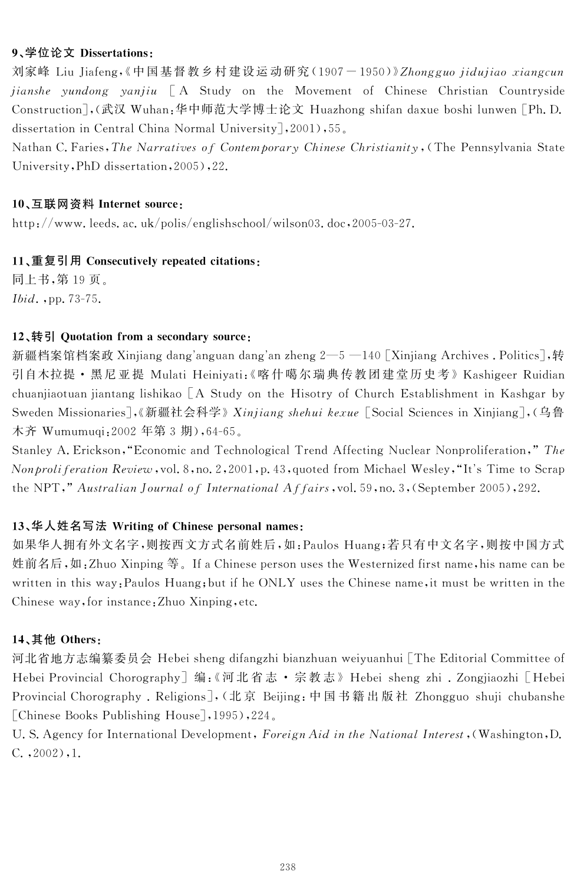### 9、学位论文 Dissertations:

刘家峰 Liu Jiafeng,《中国基督教乡村建设运动研究 (1907-1950)》Zhongguo jidujiao xiangcun jianshe yundong yanjiu [A Study on the Movement of Chinese Christian Countryside Construction],(武汉 Wuhan:华中师范大学博士论文 Huazhong shifan daxue boshi lunwen [Ph. D. dissertation in Central China Normal University], 2001), 55.

Nathan C. Faries, The Narratives of Contemporary Chinese Christianity, (The Pennsylvania State University, PhD dissertation, 2005), 22.

#### 10、互联网资料 Internet source:

http://www.leeds.ac.uk/polis/englishschool/wilson03.doc,2005-03-27.

#### 11、重复引用 Consecutively repeated citations:

同上书,第19页. Ibid., pp. 73-75.

#### 12、转引 Quotation from a secondary source:

新疆档案馆档案政 Xinjiang dang'anguan dang'an zheng 2—5 —140 [Xinjiang Archives . Politics],转 引自木拉提 • 黑尼亚提 Mulati Heiniyati:《喀什噶尔瑞典传教团建堂历史考》Kashigeer Ruidian chuanjiaotuan jiantang lishikao  $\begin{bmatrix} A & Study \end{bmatrix}$  on the Hisotry of Church Establishment in Kashgar by Sweden Missionaries],《新疆社会科学》Xinjiang shehui kexue [Social Sciences in Xinjiang], (乌鲁 木齐 Wumumuqi: 2002 年第 3 期), 64-65。

Stanley A. Erickson, "Economic and Technological Trend Affecting Nuclear Nonproliferation," The Nonproliferation Review, vol. 8, no. 2, 2001, p. 43, quoted from Michael Wesley, "It's Time to Scrap the NPT," Australian Journal of International Affairs, vol. 59, no. 3, (September 2005), 292.

#### 13、华人姓名写法 Writing of Chinese personal names:

如果华人拥有外文名字,则按西文方式名前姓后,如:PaulosHuang;若只有中文名字,则按中国方式 姓前名后,如:Zhuo Xinping 等。If a Chinese person uses the Westernized first name, his name can be written in this way: Paulos Huang; but if he ONLY uses the Chinese name, it must be written in the Chinese way, for instance: Zhuo Xinping, etc.

#### 14、其他 Others:

河北省地方志编纂委员会 Hebei sheng difangzhi bianzhuan weiyuanhui [The Editorial Committee of Hebei Provincial Chorography]编:《河北省志 · 宗教志》Hebei sheng zhi . Zongjiaozhi [Hebei Provincial Chorography . Religions], (北京 Beijing:中国书籍出版社 Zhongguo shuji chubanshe [Chinese Books Publishing House], 1995), 224.

U. S. Agency for International Development, Foreign Aid in the National Interest, (Washington, D. C.,2002),1.